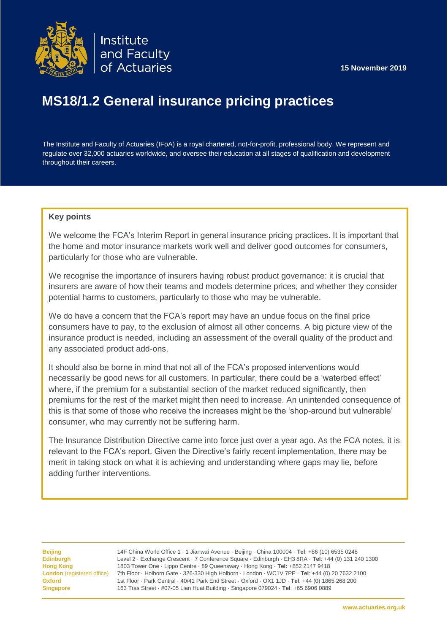



# **MS18/1.2 General insurance pricing practices**

The Institute and Faculty of Actuaries (IFoA) is a royal chartered, not-for-profit, professional body. We represent and regulate over 32,000 actuaries worldwide, and oversee their education at all stages of qualification and development throughout their careers.

## **Key points**

We welcome the FCA's Interim Report in general insurance pricing practices. It is important that the home and motor insurance markets work well and deliver good outcomes for consumers, particularly for those who are vulnerable.

We recognise the importance of insurers having robust product governance: it is crucial that insurers are aware of how their teams and models determine prices, and whether they consider potential harms to customers, particularly to those who may be vulnerable.

We do have a concern that the FCA's report may have an undue focus on the final price consumers have to pay, to the exclusion of almost all other concerns. A big picture view of the insurance product is needed, including an assessment of the overall quality of the product and any associated product add-ons.

It should also be borne in mind that not all of the FCA's proposed interventions would necessarily be good news for all customers. In particular, there could be a 'waterbed effect' where, if the premium for a substantial section of the market reduced significantly, then premiums for the rest of the market might then need to increase. An unintended consequence of this is that some of those who receive the increases might be the 'shop-around but vulnerable' consumer, who may currently not be suffering harm.

adding further interventions.<br>
any of the points raised please contact Name no in the phone no email of the phone no of the phone no of the n The Insurance Distribution Directive came into force just over a year ago. As the FCA notes, it is relevant to the FCA's report. Given the Directive's fairly recent implementation, there may be merit in taking stock on what it is achieving and understanding where gaps may lie, before

instance.

**Beijing** 14F China World Office 1 · 1 Jianwai Avenue · Beijing · China 100004 · **Tel**: +86 (10) 6535 0248 **Edinburgh** Level 2 · Exchange Crescent · 7 Conference Square · Edinburgh · EH3 8RA · **Tel**: +44 (0) 131 240 1300 **Hong Kong** 1803 Tower One · Lippo Centre · 89 Queensway · Hong Kong · **Tel:** +852 2147 9418 **London** (registered office) 7th Floor · Holborn Gate · 326-330 High Holborn · London · WC1V 7PP · **Tel**: +44 (0) 20 7632 2100 **Oxford** 1st Floor · Park Central · 40/41 Park End Street · Oxford · OX1 1JD · **Tel**: +44 (0) 1865 268 200 **Singapore** 163 Tras Street · #07-05 Lian Huat Building · Singapore 079024 · **Tel**: +65 6906 0889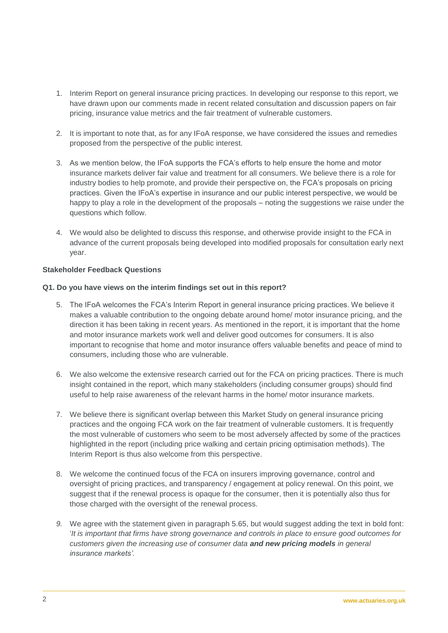- 1. Interim Report on general insurance pricing practices. In developing our response to this report, we have drawn upon our comments made in recent related consultation and discussion papers on fair pricing, insurance value metrics and the fair treatment of vulnerable customers.
- 2. It is important to note that, as for any IFoA response, we have considered the issues and remedies proposed from the perspective of the public interest.
- 3. As we mention below, the IFoA supports the FCA's efforts to help ensure the home and motor insurance markets deliver fair value and treatment for all consumers. We believe there is a role for industry bodies to help promote, and provide their perspective on, the FCA's proposals on pricing practices. Given the IFoA's expertise in insurance and our public interest perspective, we would be happy to play a role in the development of the proposals – noting the suggestions we raise under the questions which follow.
- 4. We would also be delighted to discuss this response, and otherwise provide insight to the FCA in advance of the current proposals being developed into modified proposals for consultation early next year.

#### **Stakeholder Feedback Questions**

#### **Q1. Do you have views on the interim findings set out in this report?**

- 5. The IFoA welcomes the FCA's Interim Report in general insurance pricing practices. We believe it makes a valuable contribution to the ongoing debate around home/ motor insurance pricing, and the direction it has been taking in recent years. As mentioned in the report, it is important that the home and motor insurance markets work well and deliver good outcomes for consumers. It is also important to recognise that home and motor insurance offers valuable benefits and peace of mind to consumers, including those who are vulnerable.
- 6. We also welcome the extensive research carried out for the FCA on pricing practices. There is much insight contained in the report, which many stakeholders (including consumer groups) should find useful to help raise awareness of the relevant harms in the home/ motor insurance markets.
- 7. We believe there is significant overlap between this Market Study on general insurance pricing practices and the ongoing FCA work on the fair treatment of vulnerable customers. It is frequently the most vulnerable of customers who seem to be most adversely affected by some of the practices highlighted in the report (including price walking and certain pricing optimisation methods). The Interim Report is thus also welcome from this perspective.
- 8. We welcome the continued focus of the FCA on insurers improving governance, control and oversight of pricing practices, and transparency / engagement at policy renewal. On this point, we suggest that if the renewal process is opaque for the consumer, then it is potentially also thus for those charged with the oversight of the renewal process.
- *9.* We agree with the statement given in paragraph 5.65, but would suggest adding the text in bold font: '*It is important that firms have strong governance and controls in place to ensure good outcomes for customers given the increasing use of consumer data and new pricing models in general insurance markets'.*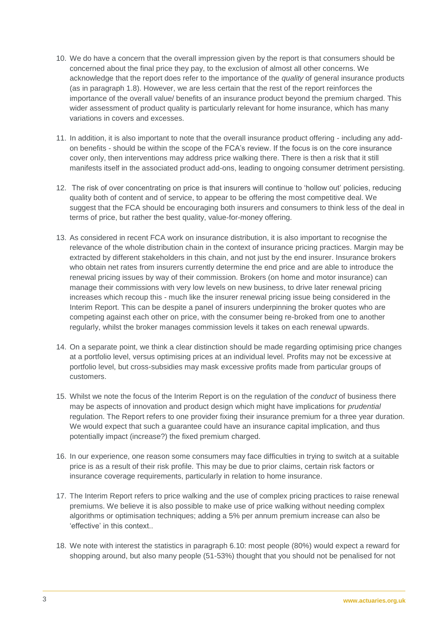- 10. We do have a concern that the overall impression given by the report is that consumers should be concerned about the final price they pay, to the exclusion of almost all other concerns. We acknowledge that the report does refer to the importance of the *quality* of general insurance products (as in paragraph 1.8). However, we are less certain that the rest of the report reinforces the importance of the overall value/ benefits of an insurance product beyond the premium charged. This wider assessment of product quality is particularly relevant for home insurance, which has many variations in covers and excesses.
- 11. In addition, it is also important to note that the overall insurance product offering including any addon benefits - should be within the scope of the FCA's review. If the focus is on the core insurance cover only, then interventions may address price walking there. There is then a risk that it still manifests itself in the associated product add-ons, leading to ongoing consumer detriment persisting.
- 12. The risk of over concentrating on price is that insurers will continue to 'hollow out' policies, reducing quality both of content and of service, to appear to be offering the most competitive deal. We suggest that the FCA should be encouraging both insurers and consumers to think less of the deal in terms of price, but rather the best quality, value-for-money offering.
- 13. As considered in recent FCA work on insurance distribution, it is also important to recognise the relevance of the whole distribution chain in the context of insurance pricing practices. Margin may be extracted by different stakeholders in this chain, and not just by the end insurer. Insurance brokers who obtain net rates from insurers currently determine the end price and are able to introduce the renewal pricing issues by way of their commission. Brokers (on home and motor insurance) can manage their commissions with very low levels on new business, to drive later renewal pricing increases which recoup this - much like the insurer renewal pricing issue being considered in the Interim Report. This can be despite a panel of insurers underpinning the broker quotes who are competing against each other on price, with the consumer being re-broked from one to another regularly, whilst the broker manages commission levels it takes on each renewal upwards.
- 14. On a separate point, we think a clear distinction should be made regarding optimising price changes at a portfolio level, versus optimising prices at an individual level. Profits may not be excessive at portfolio level, but cross-subsidies may mask excessive profits made from particular groups of customers.
- 15. Whilst we note the focus of the Interim Report is on the regulation of the *conduct* of business there may be aspects of innovation and product design which might have implications for *prudential* regulation. The Report refers to one provider fixing their insurance premium for a three year duration. We would expect that such a guarantee could have an insurance capital implication, and thus potentially impact (increase?) the fixed premium charged.
- 16. In our experience, one reason some consumers may face difficulties in trying to switch at a suitable price is as a result of their risk profile. This may be due to prior claims, certain risk factors or insurance coverage requirements, particularly in relation to home insurance.
- 17. The Interim Report refers to price walking and the use of complex pricing practices to raise renewal premiums. We believe it is also possible to make use of price walking without needing complex algorithms or optimisation techniques; adding a 5% per annum premium increase can also be 'effective' in this context..
- 18. We note with interest the statistics in paragraph 6.10: most people (80%) would expect a reward for shopping around, but also many people (51-53%) thought that you should not be penalised for not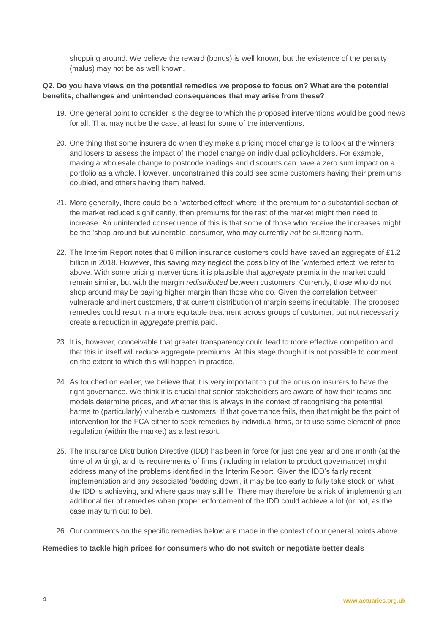shopping around. We believe the reward (bonus) is well known, but the existence of the penalty (malus) may not be as well known.

## **Q2. Do you have views on the potential remedies we propose to focus on? What are the potential benefits, challenges and unintended consequences that may arise from these?**

- 19. One general point to consider is the degree to which the proposed interventions would be good news for all. That may not be the case, at least for some of the interventions.
- 20. One thing that some insurers do when they make a pricing model change is to look at the winners and losers to assess the impact of the model change on individual policyholders. For example, making a wholesale change to postcode loadings and discounts can have a zero sum impact on a portfolio as a whole. However, unconstrained this could see some customers having their premiums doubled, and others having them halved.
- 21. More generally, there could be a 'waterbed effect' where, if the premium for a substantial section of the market reduced significantly, then premiums for the rest of the market might then need to increase. An unintended consequence of this is that some of those who receive the increases might be the 'shop-around but vulnerable' consumer, who may currently *not* be suffering harm.
- 22. The Interim Report notes that 6 million insurance customers could have saved an aggregate of £1.2 billion in 2018. However, this saving may neglect the possibility of the 'waterbed effect' we refer to above. With some pricing interventions it is plausible that *aggregate* premia in the market could remain similar, but with the margin *redistributed* between customers. Currently, those who do not shop around may be paying higher margin than those who do. Given the correlation between vulnerable and inert customers, that current distribution of margin seems inequitable. The proposed remedies could result in a more equitable treatment across groups of customer, but not necessarily create a reduction in *aggregate* premia paid.
- 23. It is, however, conceivable that greater transparency could lead to more effective competition and that this in itself will reduce aggregate premiums. At this stage though it is not possible to comment on the extent to which this will happen in practice.
- 24. As touched on earlier, we believe that it is very important to put the onus on insurers to have the right governance. We think it is crucial that senior stakeholders are aware of how their teams and models determine prices, and whether this is always in the context of recognising the potential harms to (particularly) vulnerable customers. If that governance fails, then that might be the point of intervention for the FCA either to seek remedies by individual firms, or to use some element of price regulation (within the market) as a last resort.
- 25. The Insurance Distribution Directive (IDD) has been in force for just one year and one month (at the time of writing), and its requirements of firms (including in relation to product governance) might address many of the problems identified in the Interim Report. Given the IDD's fairly recent implementation and any associated 'bedding down', it may be too early to fully take stock on what the IDD is achieving, and where gaps may still lie. There may therefore be a risk of implementing an additional tier of remedies when proper enforcement of the IDD could achieve a lot (or not, as the case may turn out to be).
- 26. Our comments on the specific remedies below are made in the context of our general points above.

#### **Remedies to tackle high prices for consumers who do not switch or negotiate better deals**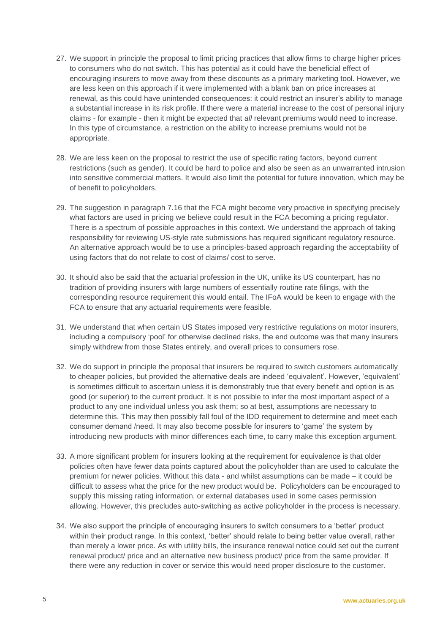- 27. We support in principle the proposal to limit pricing practices that allow firms to charge higher prices to consumers who do not switch. This has potential as it could have the beneficial effect of encouraging insurers to move away from these discounts as a primary marketing tool. However, we are less keen on this approach if it were implemented with a blank ban on price increases at renewal, as this could have unintended consequences: it could restrict an insurer's ability to manage a substantial increase in its risk profile. If there were a material increase to the cost of personal injury claims - for example - then it might be expected that *all* relevant premiums would need to increase. In this type of circumstance, a restriction on the ability to increase premiums would not be appropriate.
- 28. We are less keen on the proposal to restrict the use of specific rating factors, beyond current restrictions (such as gender). It could be hard to police and also be seen as an unwarranted intrusion into sensitive commercial matters. It would also limit the potential for future innovation, which may be of benefit to policyholders.
- 29. The suggestion in paragraph 7.16 that the FCA might become very proactive in specifying precisely what factors are used in pricing we believe could result in the FCA becoming a pricing regulator. There is a spectrum of possible approaches in this context. We understand the approach of taking responsibility for reviewing US-style rate submissions has required significant regulatory resource. An alternative approach would be to use a principles-based approach regarding the acceptability of using factors that do not relate to cost of claims/ cost to serve.
- 30. It should also be said that the actuarial profession in the UK, unlike its US counterpart, has no tradition of providing insurers with large numbers of essentially routine rate filings, with the corresponding resource requirement this would entail. The IFoA would be keen to engage with the FCA to ensure that any actuarial requirements were feasible.
- 31. We understand that when certain US States imposed very restrictive regulations on motor insurers, including a compulsory 'pool' for otherwise declined risks, the end outcome was that many insurers simply withdrew from those States entirely, and overall prices to consumers rose.
- 32. We do support in principle the proposal that insurers be required to switch customers automatically to cheaper policies, but provided the alternative deals are indeed 'equivalent'. However, 'equivalent' is sometimes difficult to ascertain unless it is demonstrably true that every benefit and option is as good (or superior) to the current product. It is not possible to infer the most important aspect of a product to any one individual unless you ask them; so at best, assumptions are necessary to determine this. This may then possibly fall foul of the IDD requirement to determine and meet each consumer demand /need. It may also become possible for insurers to 'game' the system by introducing new products with minor differences each time, to carry make this exception argument.
- 33. A more significant problem for insurers looking at the requirement for equivalence is that older policies often have fewer data points captured about the policyholder than are used to calculate the premium for newer policies. Without this data - and whilst assumptions can be made – it could be difficult to assess what the price for the new product would be. Policyholders can be encouraged to supply this missing rating information, or external databases used in some cases permission allowing. However, this precludes auto-switching as active policyholder in the process is necessary.
- 34. We also support the principle of encouraging insurers to switch consumers to a 'better' product within their product range. In this context, 'better' should relate to being better value overall, rather than merely a lower price. As with utility bills, the insurance renewal notice could set out the current renewal product/ price and an alternative new business product/ price from the same provider. If there were any reduction in cover or service this would need proper disclosure to the customer.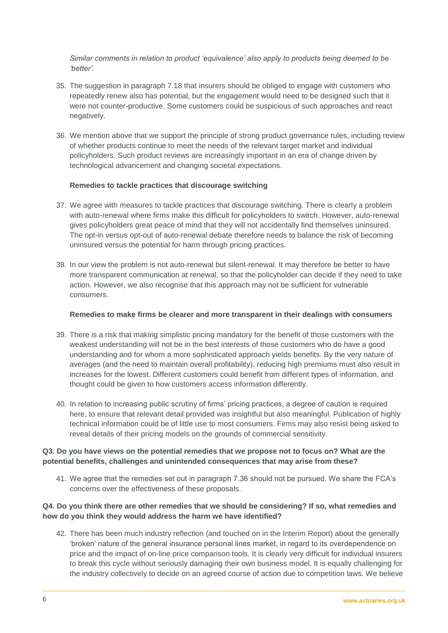*Similar comments in relation to product 'equivalence' also apply to products being deemed to be 'better'.* 

- 35. The suggestion in paragraph 7.18 that insurers should be obliged to engage with customers who repeatedly renew also has potential, but the engagement would need to be designed such that it were not counter-productive. Some customers could be suspicious of such approaches and react negatively.
- 36. We mention above that we support the principle of strong product governance rules, including review of whether products continue to meet the needs of the relevant target market and individual policyholders. Such product reviews are increasingly important in an era of change driven by technological advancement and changing societal expectations.

#### **Remedies to tackle practices that discourage switching**

- 37. We agree with measures to tackle practices that discourage switching. There is clearly a problem with auto-renewal where firms make this difficult for policyholders to switch. However, auto-renewal gives policyholders great peace of mind that they will not accidentally find themselves uninsured. The opt-in versus opt-out of auto-renewal debate therefore needs to balance the risk of becoming uninsured versus the potential for harm through pricing practices.
- 38. In our view the problem is not auto-renewal but silent-renewal. It may therefore be better to have more transparent communication at renewal, so that the policyholder can decide if they need to take action. However, we also recognise that this approach may not be sufficient for vulnerable consumers.

## **Remedies to make firms be clearer and more transparent in their dealings with consumers**

- 39. There is a risk that making simplistic pricing mandatory for the benefit of those customers with the weakest understanding will not be in the best interests of those customers who do have a good understanding and for whom a more sophisticated approach yields benefits. By the very nature of averages (and the need to maintain overall profitability), reducing high premiums must also result in increases for the lowest. Different customers could benefit from different types of information, and thought could be given to how customers access information differently.
- 40. In relation to increasing public scrutiny of firms' pricing practices, a degree of caution is required here, to ensure that relevant detail provided was insightful but also meaningful. Publication of highly technical information could be of little use to most consumers. Firms may also resist being asked to reveal details of their pricing models on the grounds of commercial sensitivity.

## **Q3. Do you have views on the potential remedies that we propose not to focus on? What are the potential benefits, challenges and unintended consequences that may arise from these?**

41. We agree that the remedies set out in paragraph 7.36 should not be pursued. We share the FCA's concerns over the effectiveness of these proposals.

## **Q4. Do you think there are other remedies that we should be considering? If so, what remedies and how do you think they would address the harm we have identified?**

42. There has been much industry reflection (and touched on in the Interim Report) about the generally 'broken' nature of the general insurance personal lines market, in regard to its overdependence on price and the impact of on-line price comparison tools. It is clearly very difficult for individual insurers to break this cycle without seriously damaging their own business model. It is equally challenging for the industry collectively to decide on an agreed course of action due to competition laws. We believe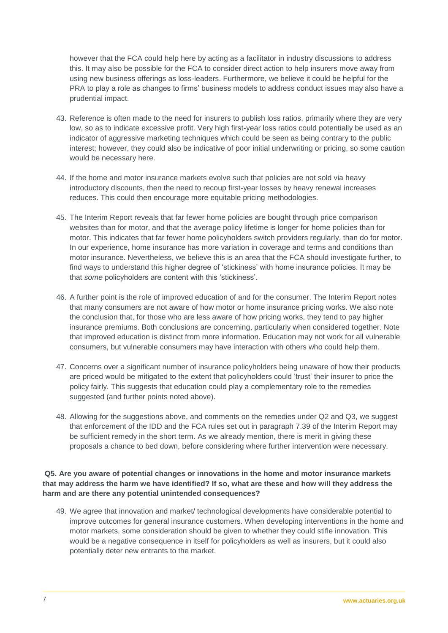however that the FCA could help here by acting as a facilitator in industry discussions to address this. It may also be possible for the FCA to consider direct action to help insurers move away from using new business offerings as loss-leaders. Furthermore, we believe it could be helpful for the PRA to play a role as changes to firms' business models to address conduct issues may also have a prudential impact.

- 43. Reference is often made to the need for insurers to publish loss ratios, primarily where they are very low, so as to indicate excessive profit. Very high first-year loss ratios could potentially be used as an indicator of aggressive marketing techniques which could be seen as being contrary to the public interest; however, they could also be indicative of poor initial underwriting or pricing, so some caution would be necessary here.
- 44. If the home and motor insurance markets evolve such that policies are not sold via heavy introductory discounts, then the need to recoup first-year losses by heavy renewal increases reduces. This could then encourage more equitable pricing methodologies.
- 45. The Interim Report reveals that far fewer home policies are bought through price comparison websites than for motor, and that the average policy lifetime is longer for home policies than for motor. This indicates that far fewer home policyholders switch providers regularly, than do for motor. In our experience, home insurance has more variation in coverage and terms and conditions than motor insurance. Nevertheless, we believe this is an area that the FCA should investigate further, to find ways to understand this higher degree of 'stickiness' with home insurance policies. It may be that *some* policyholders are content with this 'stickiness'.
- 46. A further point is the role of improved education of and for the consumer. The Interim Report notes that many consumers are not aware of how motor or home insurance pricing works. We also note the conclusion that, for those who are less aware of how pricing works, they tend to pay higher insurance premiums. Both conclusions are concerning, particularly when considered together. Note that improved education is distinct from more information. Education may not work for all vulnerable consumers, but vulnerable consumers may have interaction with others who could help them.
- 47. Concerns over a significant number of insurance policyholders being unaware of how their products are priced would be mitigated to the extent that policyholders could 'trust' their insurer to price the policy fairly. This suggests that education could play a complementary role to the remedies suggested (and further points noted above).
- 48. Allowing for the suggestions above, and comments on the remedies under Q2 and Q3, we suggest that enforcement of the IDD and the FCA rules set out in paragraph 7.39 of the Interim Report may be sufficient remedy in the short term. As we already mention, there is merit in giving these proposals a chance to bed down, before considering where further intervention were necessary.

## **Q5. Are you aware of potential changes or innovations in the home and motor insurance markets that may address the harm we have identified? If so, what are these and how will they address the harm and are there any potential unintended consequences?**

49. We agree that innovation and market/ technological developments have considerable potential to improve outcomes for general insurance customers. When developing interventions in the home and motor markets, some consideration should be given to whether they could stifle innovation. This would be a negative consequence in itself for policyholders as well as insurers, but it could also potentially deter new entrants to the market.